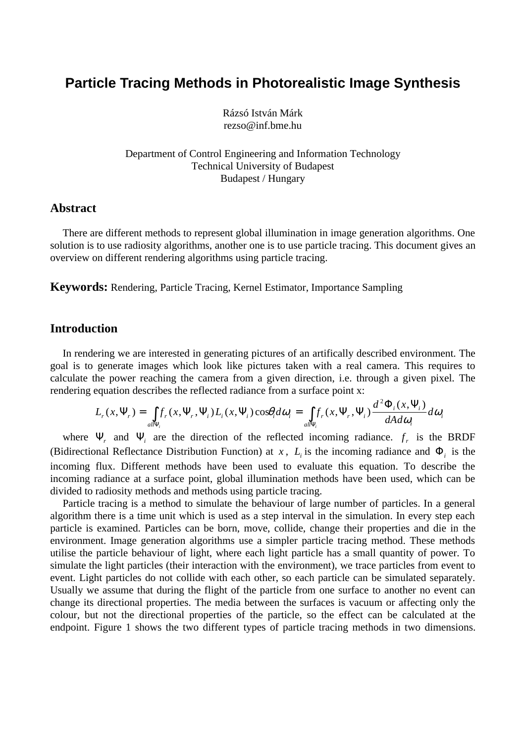# **Particle Tracing Methods in Photorealistic Image Synthesis**

Rázsó István Márk rezso@inf.bme.hu

Department of Control Engineering and Information Technology Technical University of Budapest Budapest / Hungary

# **Abstract**

There are different methods to represent global illumination in image generation algorithms. One solution is to use radiosity algorithms, another one is to use particle tracing. This document gives an overview on different rendering algorithms using particle tracing.

**Keywords:** Rendering, Particle Tracing, Kernel Estimator, Importance Sampling

# **Introduction**

In rendering we are interested in generating pictures of an artifically described environment. The goal is to generate images which look like pictures taken with a real camera. This requires to calculate the power reaching the camera from a given direction, i.e. through a given pixel. The rendering equation describes the reflected radiance from a surface point x:

$$
L_r(x, \Psi_r) = \int_{\text{all}\Psi_i} f_r(x, \Psi_r, \Psi_i) L_i(x, \Psi_i) \cos\theta_i d\omega_i = \int_{\text{all}\Psi_i} f_r(x, \Psi_r, \Psi_i) \frac{d^2 \Phi_i(x, \Psi_i)}{dA d\omega_i} d\omega_i
$$

where  $\Psi_r$  and  $\Psi_i$  are the direction of the reflected incoming radiance.  $f_r$  is the BRDF (Bidirectional Reflectance Distribution Function) at *x*,  $L<sub>i</sub>$  is the incoming radiance and  $\Phi<sub>i</sub>$  is the incoming flux. Different methods have been used to evaluate this equation. To describe the incoming radiance at a surface point, global illumination methods have been used, which can be divided to radiosity methods and methods using particle tracing.

Particle tracing is a method to simulate the behaviour of large number of particles. In a general algorithm there is a time unit which is used as a step interval in the simulation. In every step each particle is examined. Particles can be born, move, collide, change their properties and die in the environment. Image generation algorithms use a simpler particle tracing method. These methods utilise the particle behaviour of light, where each light particle has a small quantity of power. To simulate the light particles (their interaction with the environment), we trace particles from event to event. Light particles do not collide with each other, so each particle can be simulated separately. Usually we assume that during the flight of the particle from one surface to another no event can change its directional properties. The media between the surfaces is vacuum or affecting only the colour, but not the directional properties of the particle, so the effect can be calculated at the endpoint. Figure 1 shows the two different types of particle tracing methods in two dimensions.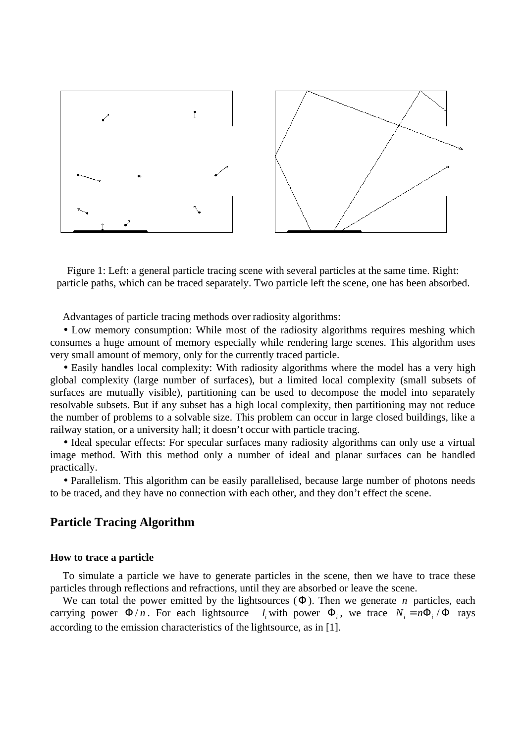

Figure 1: Left: a general particle tracing scene with several particles at the same time. Right: particle paths, which can be traced separately. Two particle left the scene, one has been absorbed.

Advantages of particle tracing methods over radiosity algorithms:

• Low memory consumption: While most of the radiosity algorithms requires meshing which consumes a huge amount of memory especially while rendering large scenes. This algorithm uses very small amount of memory, only for the currently traced particle.

• Easily handles local complexity: With radiosity algorithms where the model has a very high global complexity (large number of surfaces), but a limited local complexity (small subsets of surfaces are mutually visible), partitioning can be used to decompose the model into separately resolvable subsets. But if any subset has a high local complexity, then partitioning may not reduce the number of problems to a solvable size. This problem can occur in large closed buildings, like a railway station, or a university hall; it doesn't occur with particle tracing.

• Ideal specular effects: For specular surfaces many radiosity algorithms can only use a virtual image method. With this method only a number of ideal and planar surfaces can be handled practically.

• Parallelism. This algorithm can be easily parallelised, because large number of photons needs to be traced, and they have no connection with each other, and they don't effect the scene.

## **Particle Tracing Algorithm**

## **How to trace a particle**

To simulate a particle we have to generate particles in the scene, then we have to trace these particles through reflections and refractions, until they are absorbed or leave the scene.

We can total the power emitted by the lightsources  $(\Phi)$ . Then we generate *n* particles, each carrying power  $\Phi/n$ . For each lightsource  $l_i$  with power  $\Phi_i$ , we trace  $N_i = n\Phi_i/\Phi$  rays according to the emission characteristics of the lightsource, as in [1].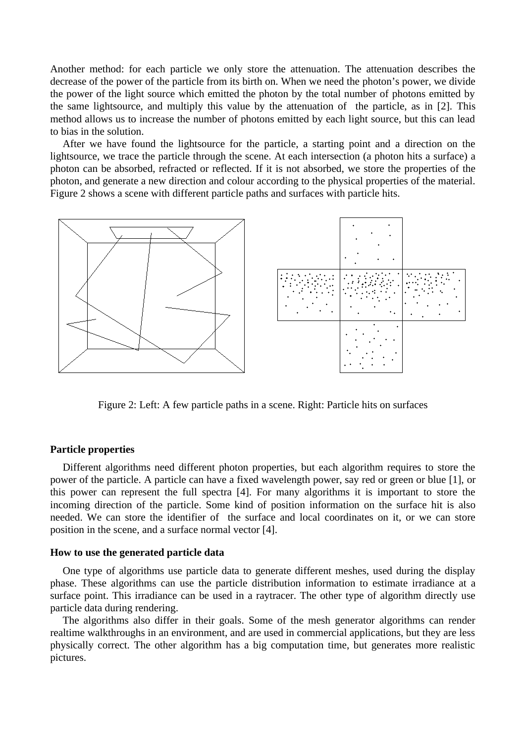Another method: for each particle we only store the attenuation. The attenuation describes the decrease of the power of the particle from its birth on. When we need the photon's power, we divide the power of the light source which emitted the photon by the total number of photons emitted by the same lightsource, and multiply this value by the attenuation of the particle, as in [2]. This method allows us to increase the number of photons emitted by each light source, but this can lead to bias in the solution.

After we have found the lightsource for the particle, a starting point and a direction on the lightsource, we trace the particle through the scene. At each intersection (a photon hits a surface) a photon can be absorbed, refracted or reflected. If it is not absorbed, we store the properties of the photon, and generate a new direction and colour according to the physical properties of the material. Figure 2 shows a scene with different particle paths and surfaces with particle hits.



Figure 2: Left: A few particle paths in a scene. Right: Particle hits on surfaces

## **Particle properties**

Different algorithms need different photon properties, but each algorithm requires to store the power of the particle. A particle can have a fixed wavelength power, say red or green or blue [1], or this power can represent the full spectra [4]. For many algorithms it is important to store the incoming direction of the particle. Some kind of position information on the surface hit is also needed. We can store the identifier of the surface and local coordinates on it, or we can store position in the scene, and a surface normal vector [4].

## **How to use the generated particle data**

One type of algorithms use particle data to generate different meshes, used during the display phase. These algorithms can use the particle distribution information to estimate irradiance at a surface point. This irradiance can be used in a raytracer. The other type of algorithm directly use particle data during rendering.

The algorithms also differ in their goals. Some of the mesh generator algorithms can render realtime walkthroughs in an environment, and are used in commercial applications, but they are less physically correct. The other algorithm has a big computation time, but generates more realistic pictures.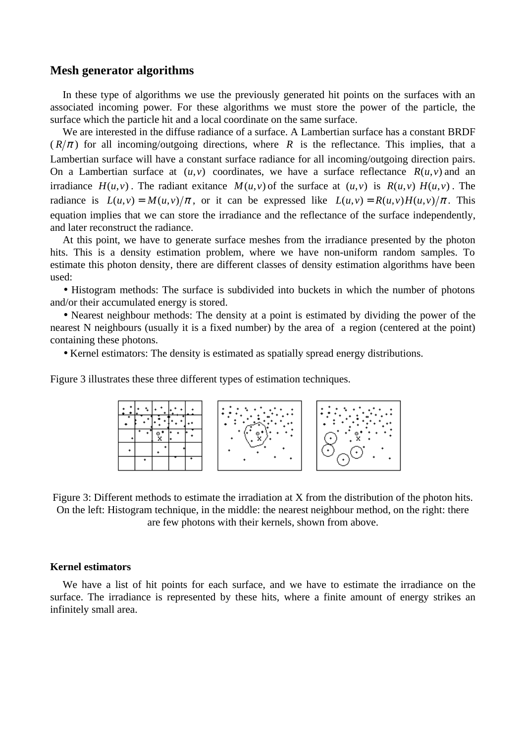## **Mesh generator algorithms**

In these type of algorithms we use the previously generated hit points on the surfaces with an associated incoming power. For these algorithms we must store the power of the particle, the surface which the particle hit and a local coordinate on the same surface.

We are interested in the diffuse radiance of a surface. A Lambertian surface has a constant BRDF  $(R/\pi)$  for all incoming/outgoing directions, where *R* is the reflectance. This implies, that a Lambertian surface will have a constant surface radiance for all incoming/outgoing direction pairs. On a Lambertian surface at  $(u, v)$  coordinates, we have a surface reflectance  $R(u, v)$  and an irradiance  $H(u, v)$ . The radiant exitance  $M(u, v)$  of the surface at  $(u, v)$  is  $R(u, v)$   $H(u, v)$ . The radiance is  $L(u, v) = M(u, v)/\pi$ , or it can be expressed like  $L(u, v) = R(u, v)H(u, v)/\pi$ . This equation implies that we can store the irradiance and the reflectance of the surface independently, and later reconstruct the radiance.

At this point, we have to generate surface meshes from the irradiance presented by the photon hits. This is a density estimation problem, where we have non-uniform random samples. To estimate this photon density, there are different classes of density estimation algorithms have been used:

• Histogram methods: The surface is subdivided into buckets in which the number of photons and/or their accumulated energy is stored.

• Nearest neighbour methods: The density at a point is estimated by dividing the power of the nearest N neighbours (usually it is a fixed number) by the area of a region (centered at the point) containing these photons.

• Kernel estimators: The density is estimated as spatially spread energy distributions.

Figure 3 illustrates these three different types of estimation techniques.



Figure 3: Different methods to estimate the irradiation at X from the distribution of the photon hits. On the left: Histogram technique, in the middle: the nearest neighbour method, on the right: there are few photons with their kernels, shown from above.

#### **Kernel estimators**

We have a list of hit points for each surface, and we have to estimate the irradiance on the surface. The irradiance is represented by these hits, where a finite amount of energy strikes an infinitely small area.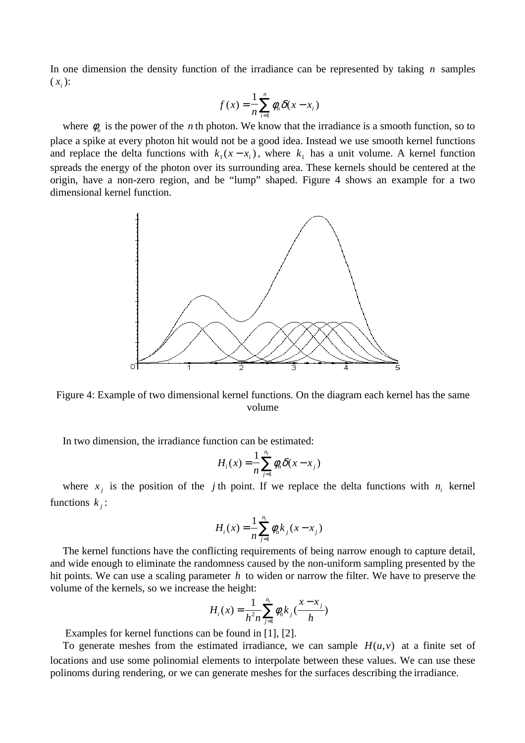In one dimension the density function of the irradiance can be represented by taking *n* samples  $(x_i)$ :

$$
f(x) = \frac{1}{n} \sum_{i=1}^{n} \phi_n \delta(x - x_i)
$$

where  $\phi_n$  is the power of the *n* th photon. We know that the irradiance is a smooth function, so to place a spike at every photon hit would not be a good idea. Instead we use smooth kernel functions and replace the delta functions with  $k_1(x - x_i)$ , where  $k_1$  has a unit volume. A kernel function spreads the energy of the photon over its surrounding area. These kernels should be centered at the origin, have a non-zero region, and be "lump" shaped. Figure 4 shows an example for a two dimensional kernel function.



Figure 4: Example of two dimensional kernel functions. On the diagram each kernel has the same volume

In two dimension, the irradiance function can be estimated:

$$
H_i(x) = \frac{1}{n} \sum_{j=1}^{n_i} \phi_n \delta(x - x_j)
$$

where  $x_j$  is the position of the *j* th point. If we replace the delta functions with  $n_i$  kernel functions  $k_i$ :

$$
H_i(x) = \frac{1}{n} \sum_{j=1}^{n_i} \phi_n k_j (x - x_j)
$$

The kernel functions have the conflicting requirements of being narrow enough to capture detail, and wide enough to eliminate the randomness caused by the non-uniform sampling presented by the hit points. We can use a scaling parameter *h* to widen or narrow the filter. We have to preserve the volume of the kernels, so we increase the height:

$$
H_i(x) = \frac{1}{h^2 n} \sum_{j=1}^{n_i} \phi_n k_j \left( \frac{x - x_j}{h} \right)
$$

Examples for kernel functions can be found in [1], [2].

To generate meshes from the estimated irradiance, we can sample  $H(u, v)$  at a finite set of locations and use some polinomial elements to interpolate between these values. We can use these polinoms during rendering, or we can generate meshes for the surfaces describing the irradiance.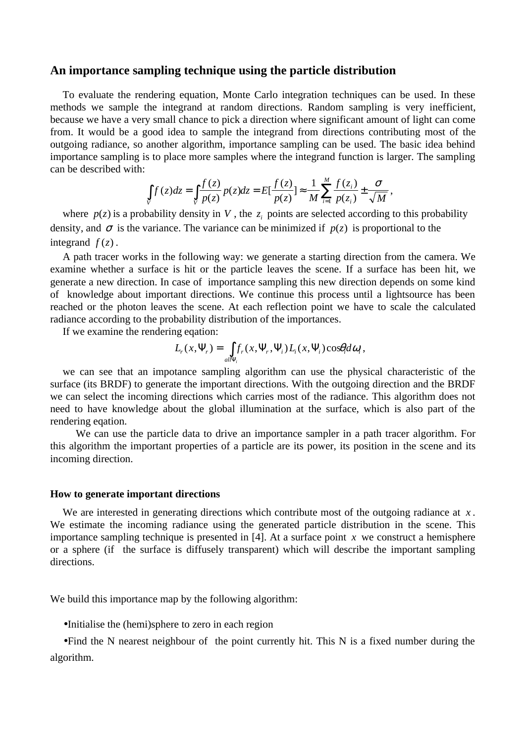## **An importance sampling technique using the particle distribution**

To evaluate the rendering equation, Monte Carlo integration techniques can be used. In these methods we sample the integrand at random directions. Random sampling is very inefficient, because we have a very small chance to pick a direction where significant amount of light can come from. It would be a good idea to sample the integrand from directions contributing most of the outgoing radiance, so another algorithm, importance sampling can be used. The basic idea behind importance sampling is to place more samples where the integrand function is larger. The sampling can be described with:

$$
\int\limits_V f(z)dz = \int\limits_V \frac{f(z)}{p(z)} p(z)dz = E\left[\frac{f(z)}{p(z)}\right] \approx \frac{1}{M}\sum_{i=1}^M \frac{f(z_i)}{p(z_i)} \pm \frac{\sigma}{\sqrt{M}},
$$

where  $p(z)$  is a probability density in *V*, the  $z<sub>i</sub>$  points are selected according to this probability density, and  $\sigma$  is the variance. The variance can be minimized if  $p(z)$  is proportional to the integrand  $f(z)$ .

A path tracer works in the following way: we generate a starting direction from the camera. We examine whether a surface is hit or the particle leaves the scene. If a surface has been hit, we generate a new direction. In case of importance sampling this new direction depends on some kind of knowledge about important directions. We continue this process until a lightsource has been reached or the photon leaves the scene. At each reflection point we have to scale the calculated radiance according to the probability distribution of the importances.

If we examine the rendering eqation:

$$
L_r(x,\Psi_r)=\int_{all\Psi_i}f_r(x,\Psi_r,\Psi_i)L_i(x,\Psi_i)\cos\theta_i d\omega_i,
$$

we can see that an impotance sampling algorithm can use the physical characteristic of the surface (its BRDF) to generate the important directions. With the outgoing direction and the BRDF we can select the incoming directions which carries most of the radiance. This algorithm does not need to have knowledge about the global illumination at the surface, which is also part of the rendering eqation.

 We can use the particle data to drive an importance sampler in a path tracer algorithm. For this algorithm the important properties of a particle are its power, its position in the scene and its incoming direction.

## **How to generate important directions**

We are interested in generating directions which contribute most of the outgoing radiance at *x* . We estimate the incoming radiance using the generated particle distribution in the scene. This importance sampling technique is presented in [4]. At a surface point  $x$  we construct a hemisphere or a sphere (if the surface is diffusely transparent) which will describe the important sampling directions.

We build this importance map by the following algorithm:

• Initialise the (hemi)sphere to zero in each region

• Find the N nearest neighbour of the point currently hit. This N is a fixed number during the algorithm.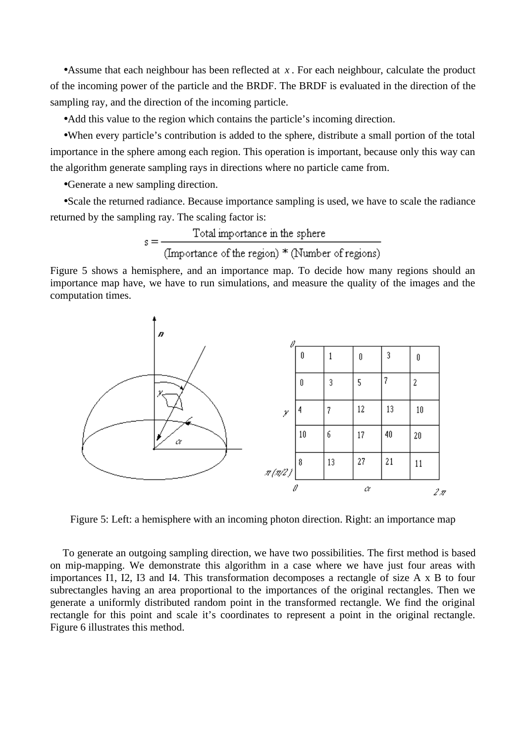• Assume that each neighbour has been reflected at  $x$ . For each neighbour, calculate the product of the incoming power of the particle and the BRDF. The BRDF is evaluated in the direction of the sampling ray, and the direction of the incoming particle.

• Add this value to the region which contains the particle's incoming direction.

• When every particle's contribution is added to the sphere, distribute a small portion of the total importance in the sphere among each region. This operation is important, because only this way can the algorithm generate sampling rays in directions where no particle came from.

• Generate a new sampling direction.

• Scale the returned radiance. Because importance sampling is used, we have to scale the radiance returned by the sampling ray. The scaling factor is:

$$
s = \frac{\text{Total importance in the sphere}}{(\text{Importance of the region}) * (\text{Number of regions})}
$$

Figure 5 shows a hemisphere, and an importance map. To decide how many regions should an importance map have, we have to run simulations, and measure the quality of the images and the computation times.



Figure 5: Left: a hemisphere with an incoming photon direction. Right: an importance map

To generate an outgoing sampling direction, we have two possibilities. The first method is based on mip-mapping. We demonstrate this algorithm in a case where we have just four areas with importances I1, I2, I3 and I4. This transformation decomposes a rectangle of size A x B to four subrectangles having an area proportional to the importances of the original rectangles. Then we generate a uniformly distributed random point in the transformed rectangle. We find the original rectangle for this point and scale it's coordinates to represent a point in the original rectangle. Figure 6 illustrates this method.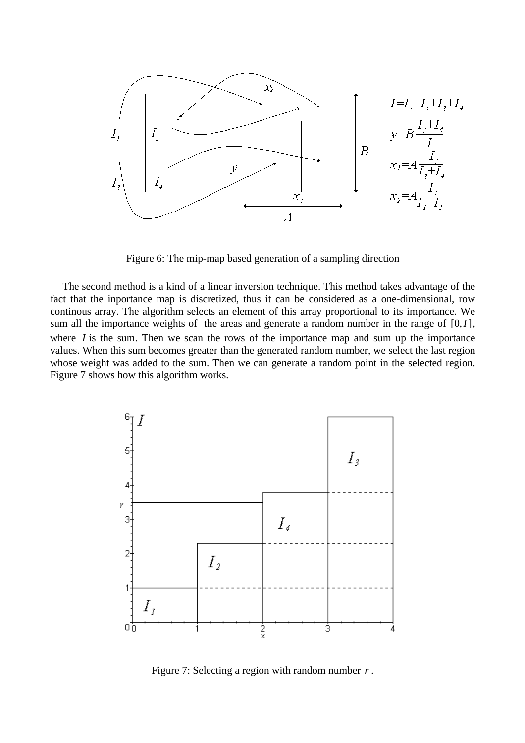

Figure 6: The mip-map based generation of a sampling direction

The second method is a kind of a linear inversion technique. This method takes advantage of the fact that the inportance map is discretized, thus it can be considered as a one-dimensional, row continous array. The algorithm selects an element of this array proportional to its importance. We sum all the importance weights of the areas and generate a random number in the range of  $[0, I]$ , where *I* is the sum. Then we scan the rows of the importance map and sum up the importance values. When this sum becomes greater than the generated random number, we select the last region whose weight was added to the sum. Then we can generate a random point in the selected region. Figure 7 shows how this algorithm works.



Figure 7: Selecting a region with random number *r* .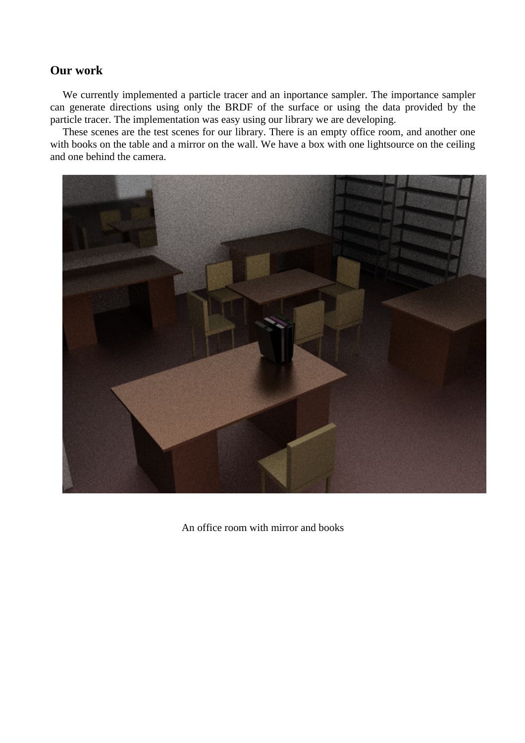# **Our work**

We currently implemented a particle tracer and an inportance sampler. The importance sampler can generate directions using only the BRDF of the surface or using the data provided by the particle tracer. The implementation was easy using our library we are developing.

These scenes are the test scenes for our library. There is an empty office room, and another one with books on the table and a mirror on the wall. We have a box with one lightsource on the ceiling and one behind the camera.



An office room with mirror and books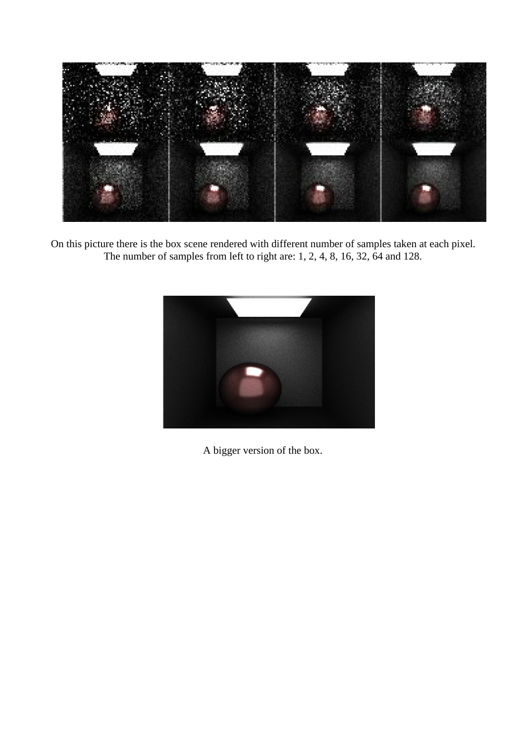

On this picture there is the box scene rendered with different number of samples taken at each pixel. The number of samples from left to right are: 1, 2, 4, 8, 16, 32, 64 and 128.



A bigger version of the box.